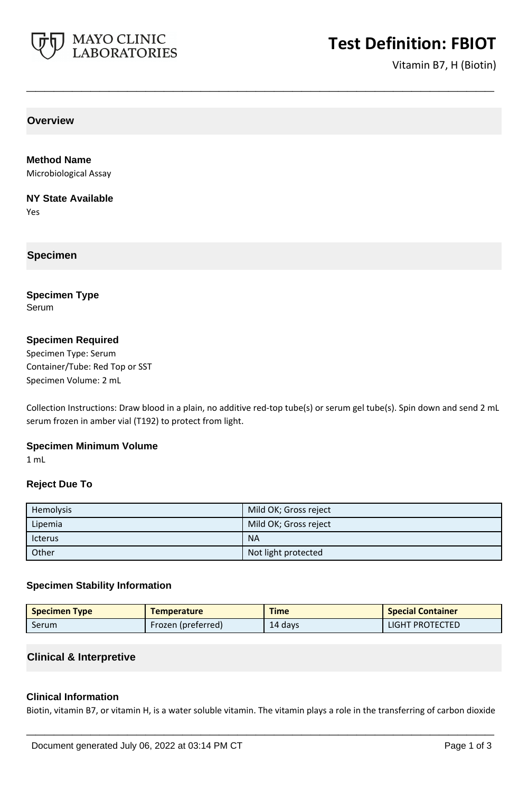

# **Test Definition: FBIOT**

Vitamin B7, H (Biotin)

**Overview**

**Method Name** Microbiological Assay

**NY State Available**

Yes

## **Specimen**

**Specimen Type** Serum

## **Specimen Required**

Specimen Type: Serum Container/Tube: Red Top or SST Specimen Volume: 2 mL

Collection Instructions: Draw blood in a plain, no additive red-top tube(s) or serum gel tube(s). Spin down and send 2 mL serum frozen in amber vial (T192) to protect from light.

**\_\_\_\_\_\_\_\_\_\_\_\_\_\_\_\_\_\_\_\_\_\_\_\_\_\_\_\_\_\_\_\_\_\_\_\_\_\_\_\_\_\_\_\_\_\_\_\_\_\_\_**

## **Specimen Minimum Volume**

1 mL

### **Reject Due To**

| Hemolysis      | Mild OK; Gross reject |
|----------------|-----------------------|
| Lipemia        | Mild OK; Gross reject |
| <b>Icterus</b> | <b>NA</b>             |
| Other          | Not light protected   |

### **Specimen Stability Information**

| <b>Specimen Type</b> | <b>Temperature</b> | <b>Time</b> | <b>Special Container</b> |
|----------------------|--------------------|-------------|--------------------------|
| Serum                | Frozen (preferred) | 14 days     | LIGHT PROTECTED          |

### **Clinical & Interpretive**

### **Clinical Information**

Biotin, vitamin B7, or vitamin H, is a water soluble vitamin. The vitamin plays a role in the transferring of carbon dioxide

**\_\_\_\_\_\_\_\_\_\_\_\_\_\_\_\_\_\_\_\_\_\_\_\_\_\_\_\_\_\_\_\_\_\_\_\_\_\_\_\_\_\_\_\_\_\_\_\_\_\_\_**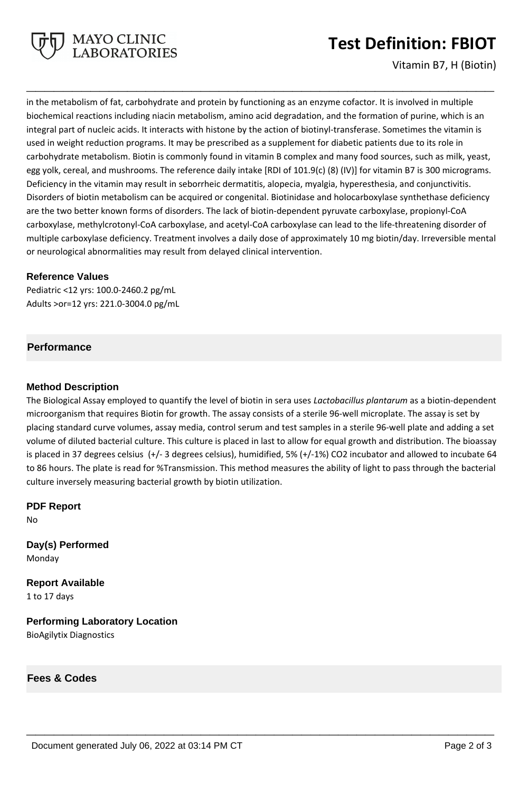

## **Test Definition: FBIOT**

Vitamin B7, H (Biotin)

in the metabolism of fat, carbohydrate and protein by functioning as an enzyme cofactor. It is involved in multiple biochemical reactions including niacin metabolism, amino acid degradation, and the formation of purine, which is an integral part of nucleic acids. It interacts with histone by the action of biotinyl-transferase. Sometimes the vitamin is used in weight reduction programs. It may be prescribed as a supplement for diabetic patients due to its role in carbohydrate metabolism. Biotin is commonly found in vitamin B complex and many food sources, such as milk, yeast, egg yolk, cereal, and mushrooms. The reference daily intake [RDI of 101.9(c) (8) (IV)] for vitamin B7 is 300 micrograms. Deficiency in the vitamin may result in seborrheic dermatitis, alopecia, myalgia, hyperesthesia, and conjunctivitis. Disorders of biotin metabolism can be acquired or congenital. Biotinidase and holocarboxylase synthethase deficiency are the two better known forms of disorders. The lack of biotin-dependent pyruvate carboxylase, propionyl-CoA carboxylase, methylcrotonyl-CoA carboxylase, and acetyl-CoA carboxylase can lead to the life-threatening disorder of multiple carboxylase deficiency. Treatment involves a daily dose of approximately 10 mg biotin/day. Irreversible mental or neurological abnormalities may result from delayed clinical intervention.

**\_\_\_\_\_\_\_\_\_\_\_\_\_\_\_\_\_\_\_\_\_\_\_\_\_\_\_\_\_\_\_\_\_\_\_\_\_\_\_\_\_\_\_\_\_\_\_\_\_\_\_**

## **Reference Values**

Pediatric <12 yrs: 100.0-2460.2 pg/mL Adults >or=12 yrs: 221.0-3004.0 pg/mL

## **Performance**

## **Method Description**

The Biological Assay employed to quantify the level of biotin in sera uses *Lactobacillus plantarum* as a biotin-dependent microorganism that requires Biotin for growth. The assay consists of a sterile 96-well microplate. The assay is set by placing standard curve volumes, assay media, control serum and test samples in a sterile 96-well plate and adding a set volume of diluted bacterial culture. This culture is placed in last to allow for equal growth and distribution. The bioassay is placed in 37 degrees celsius (+/- 3 degrees celsius), humidified, 5% (+/-1%) CO2 incubator and allowed to incubate 64 to 86 hours. The plate is read for %Transmission. This method measures the ability of light to pass through the bacterial culture inversely measuring bacterial growth by biotin utilization.

**\_\_\_\_\_\_\_\_\_\_\_\_\_\_\_\_\_\_\_\_\_\_\_\_\_\_\_\_\_\_\_\_\_\_\_\_\_\_\_\_\_\_\_\_\_\_\_\_\_\_\_**

**PDF Report** No

**Day(s) Performed** Monday

**Report Available** 1 to 17 days

**Performing Laboratory Location** BioAgilytix Diagnostics

**Fees & Codes**